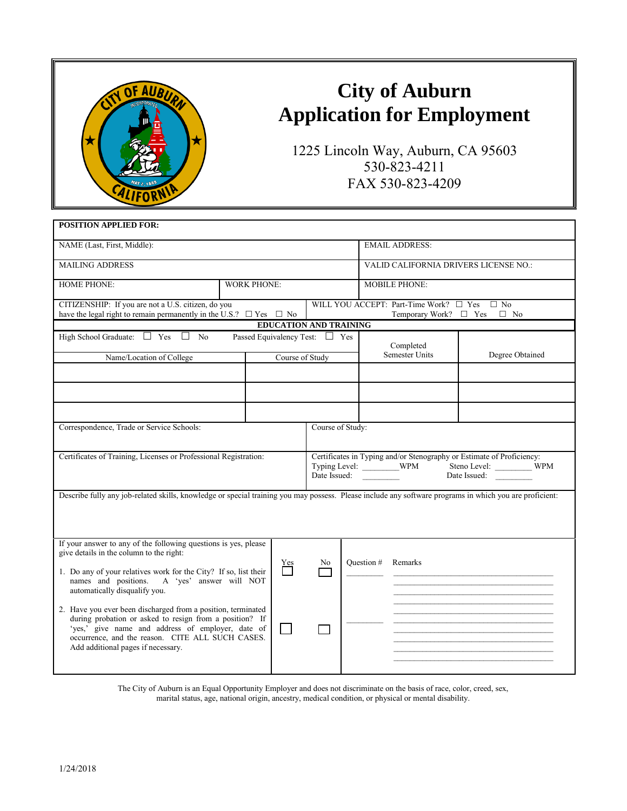

## **City of Auburn Application for Employment**

1225 Lincoln Way, Auburn, CA 95603 530-823-4211 FAX 530-823-4209

| <b>POSITION APPLIED FOR:</b>                                                                                                                                                                                                                                           |  |                         |                                                                                                                                                         |                                                                                     |                                       |                 |  |  |
|------------------------------------------------------------------------------------------------------------------------------------------------------------------------------------------------------------------------------------------------------------------------|--|-------------------------|---------------------------------------------------------------------------------------------------------------------------------------------------------|-------------------------------------------------------------------------------------|---------------------------------------|-----------------|--|--|
| NAME (Last, First, Middle):                                                                                                                                                                                                                                            |  |                         |                                                                                                                                                         |                                                                                     | <b>EMAIL ADDRESS:</b>                 |                 |  |  |
| <b>MAILING ADDRESS</b>                                                                                                                                                                                                                                                 |  |                         |                                                                                                                                                         |                                                                                     | VALID CALIFORNIA DRIVERS LICENSE NO.: |                 |  |  |
| <b>HOME PHONE:</b><br><b>WORK PHONE:</b>                                                                                                                                                                                                                               |  |                         |                                                                                                                                                         | <b>MOBILE PHONE:</b>                                                                |                                       |                 |  |  |
| CITIZENSHIP: If you are not a U.S. citizen, do you<br>have the legal right to remain permanently in the U.S.? $\Box$ Yes $\Box$ No                                                                                                                                     |  |                         |                                                                                                                                                         | WILL YOU ACCEPT: Part-Time Work? $\Box$ Yes $\Box$ No<br>Temporary Work? □ Yes □ No |                                       |                 |  |  |
| <b>EDUCATION AND TRAINING</b>                                                                                                                                                                                                                                          |  |                         |                                                                                                                                                         |                                                                                     |                                       |                 |  |  |
| High School Graduate: $\Box$ Yes $\Box$ No<br>Passed Equivalency Test: $\Box$ Yes                                                                                                                                                                                      |  |                         |                                                                                                                                                         |                                                                                     | Completed                             |                 |  |  |
| Name/Location of College                                                                                                                                                                                                                                               |  | Course of Study         |                                                                                                                                                         |                                                                                     | <b>Semester Units</b>                 | Degree Obtained |  |  |
|                                                                                                                                                                                                                                                                        |  |                         |                                                                                                                                                         |                                                                                     |                                       |                 |  |  |
|                                                                                                                                                                                                                                                                        |  |                         |                                                                                                                                                         |                                                                                     |                                       |                 |  |  |
| Correspondence, Trade or Service Schools:<br>Course of Study:                                                                                                                                                                                                          |  |                         |                                                                                                                                                         |                                                                                     |                                       |                 |  |  |
| Certificates of Training, Licenses or Professional Registration:                                                                                                                                                                                                       |  |                         | Certificates in Typing and/or Stenography or Estimate of Proficiency:<br>Typing Level: _________WPM<br>Steno Level: WPM<br>Date Issued:<br>Date Issued: |                                                                                     |                                       |                 |  |  |
| Describe fully any job-related skills, knowledge or special training you may possess. Please include any software programs in which you are proficient:                                                                                                                |  |                         |                                                                                                                                                         |                                                                                     |                                       |                 |  |  |
| If your answer to any of the following questions is yes, please<br>give details in the column to the right:                                                                                                                                                            |  | $\sum_{ }^{\text{Yes}}$ | No                                                                                                                                                      | Question #                                                                          | Remarks                               |                 |  |  |
| 1. Do any of your relatives work for the City? If so, list their<br>names and positions.<br>A 'yes' answer will NOT<br>automatically disqualify you.                                                                                                                   |  |                         |                                                                                                                                                         |                                                                                     |                                       |                 |  |  |
| 2. Have you ever been discharged from a position, terminated<br>during probation or asked to resign from a position? If<br>'yes,' give name and address of employer, date of<br>occurrence, and the reason. CITE ALL SUCH CASES.<br>Add additional pages if necessary. |  |                         |                                                                                                                                                         |                                                                                     |                                       |                 |  |  |

The City of Auburn is an Equal Opportunity Employer and does not discriminate on the basis of race, color, creed, sex, marital status, age, national origin, ancestry, medical condition, or physical or mental disability.